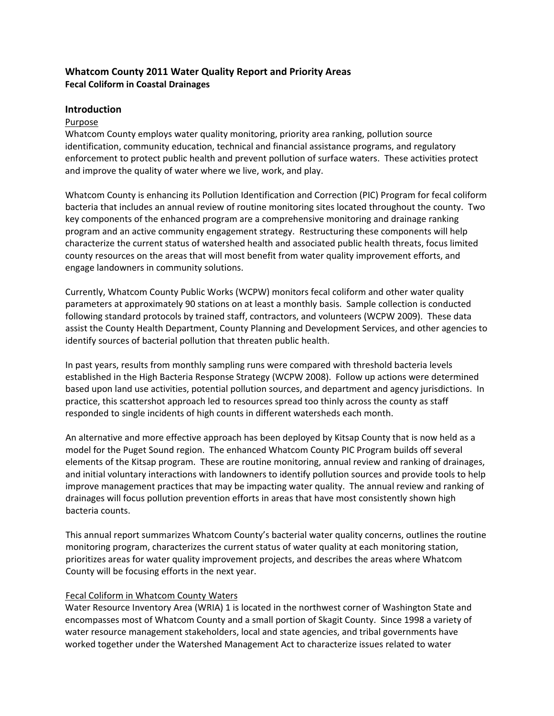## **Whatcom County 2011 Water Quality Report and Priority Areas Fecal Coliform in Coastal Drainages**

#### **Introduction**

#### Purpose

Whatcom County employs water quality monitoring, priority area ranking, pollution source identification, community education, technical and financial assistance programs, and regulatory enforcement to protect public health and prevent pollution of surface waters. These activities protect and improve the quality of water where we live, work, and play.

Whatcom County is enhancing its Pollution Identification and Correction (PIC) Program for fecal coliform bacteria that includes an annual review of routine monitoring sites located throughout the county. Two key components of the enhanced program are a comprehensive monitoring and drainage ranking program and an active community engagement strategy. Restructuring these components will help characterize the current status of watershed health and associated public health threats, focus limited county resources on the areas that will most benefit from water quality improvement efforts, and engage landowners in community solutions.

Currently, Whatcom County Public Works (WCPW) monitors fecal coliform and other water quality parameters at approximately 90 stations on at least a monthly basis. Sample collection is conducted following standard protocols by trained staff, contractors, and volunteers (WCPW 2009). These data assist the County Health Department, County Planning and Development Services, and other agencies to identify sources of bacterial pollution that threaten public health.

In past years, results from monthly sampling runs were compared with threshold bacteria levels established in the High Bacteria Response Strategy (WCPW 2008). Follow up actions were determined based upon land use activities, potential pollution sources, and department and agency jurisdictions. In practice, this scattershot approach led to resources spread too thinly across the county as staff responded to single incidents of high counts in different watersheds each month.

An alternative and more effective approach has been deployed by Kitsap County that is now held as a model for the Puget Sound region. The enhanced Whatcom County PIC Program builds off several elements of the Kitsap program. These are routine monitoring, annual review and ranking of drainages, and initial voluntary interactions with landowners to identify pollution sources and provide tools to help improve management practices that may be impacting water quality. The annual review and ranking of drainages will focus pollution prevention efforts in areas that have most consistently shown high bacteria counts.

This annual report summarizes Whatcom County's bacterial water quality concerns, outlines the routine monitoring program, characterizes the current status of water quality at each monitoring station, prioritizes areas for water quality improvement projects, and describes the areas where Whatcom County will be focusing efforts in the next year.

#### Fecal Coliform in Whatcom County Waters

Water Resource Inventory Area (WRIA) 1 is located in the northwest corner of Washington State and encompasses most of Whatcom County and a small portion of Skagit County. Since 1998 a variety of water resource management stakeholders, local and state agencies, and tribal governments have worked together under the Watershed Management Act to characterize issues related to water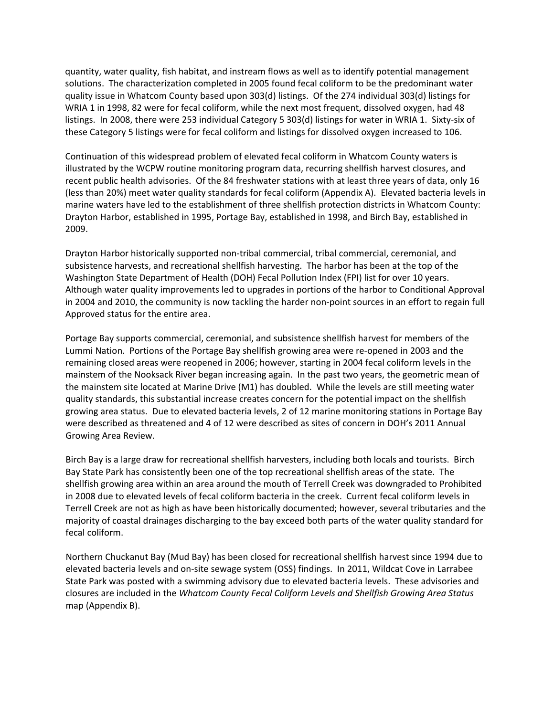quantity, water quality, fish habitat, and instream flows as well as to identify potential management solutions. The characterization completed in 2005 found fecal coliform to be the predominant water quality issue in Whatcom County based upon 303(d) listings. Of the 274 individual 303(d) listings for WRIA 1 in 1998, 82 were for fecal coliform, while the next most frequent, dissolved oxygen, had 48 listings. In 2008, there were 253 individual Category 5 303(d) listings for water in WRIA 1. Sixty-six of these Category 5 listings were for fecal coliform and listings for dissolved oxygen increased to 106.

Continuation of this widespread problem of elevated fecal coliform in Whatcom County waters is illustrated by the WCPW routine monitoring program data, recurring shellfish harvest closures, and recent public health advisories. Of the 84 freshwater stations with at least three years of data, only 16 (less than 20%) meet water quality standards for fecal coliform (Appendix A). Elevated bacteria levels in marine waters have led to the establishment of three shellfish protection districts in Whatcom County: Drayton Harbor, established in 1995, Portage Bay, established in 1998, and Birch Bay, established in 2009.

Drayton Harbor historically supported non‐tribal commercial, tribal commercial, ceremonial, and subsistence harvests, and recreational shellfish harvesting. The harbor has been at the top of the Washington State Department of Health (DOH) Fecal Pollution Index (FPI) list for over 10 years. Although water quality improvements led to upgrades in portions of the harbor to Conditional Approval in 2004 and 2010, the community is now tackling the harder non‐point sources in an effort to regain full Approved status for the entire area.

Portage Bay supports commercial, ceremonial, and subsistence shellfish harvest for members of the Lummi Nation. Portions of the Portage Bay shellfish growing area were re‐opened in 2003 and the remaining closed areas were reopened in 2006; however, starting in 2004 fecal coliform levels in the mainstem of the Nooksack River began increasing again. In the past two years, the geometric mean of the mainstem site located at Marine Drive (M1) has doubled. While the levels are still meeting water quality standards, this substantial increase creates concern for the potential impact on the shellfish growing area status. Due to elevated bacteria levels, 2 of 12 marine monitoring stations in Portage Bay were described as threatened and 4 of 12 were described as sites of concern in DOH's 2011 Annual Growing Area Review.

Birch Bay is a large draw for recreational shellfish harvesters, including both locals and tourists. Birch Bay State Park has consistently been one of the top recreational shellfish areas of the state. The shellfish growing area within an area around the mouth of Terrell Creek was downgraded to Prohibited in 2008 due to elevated levels of fecal coliform bacteria in the creek. Current fecal coliform levels in Terrell Creek are not as high as have been historically documented; however, several tributaries and the majority of coastal drainages discharging to the bay exceed both parts of the water quality standard for fecal coliform.

Northern Chuckanut Bay (Mud Bay) has been closed for recreational shellfish harvest since 1994 due to elevated bacteria levels and on‐site sewage system (OSS) findings. In 2011, Wildcat Cove in Larrabee State Park was posted with a swimming advisory due to elevated bacteria levels. These advisories and closures are included in the *Whatcom County Fecal Coliform Levels and Shellfish Growing Area Status* map (Appendix B).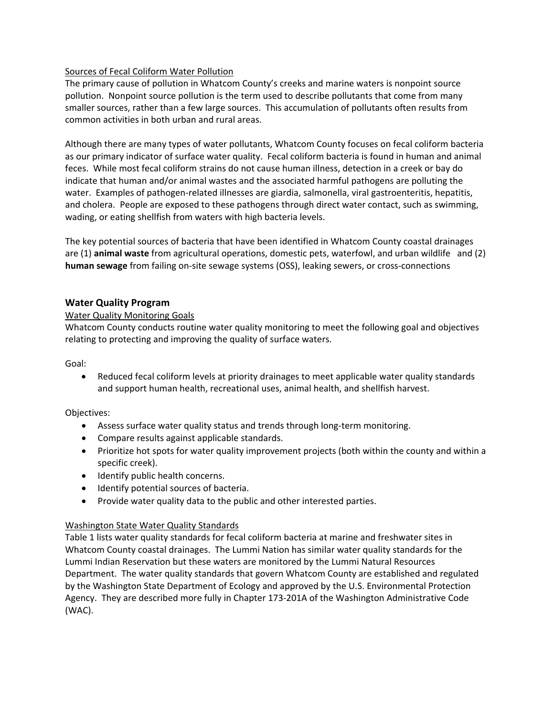#### Sources of Fecal Coliform Water Pollution

The primary cause of pollution in Whatcom County's creeks and marine waters is nonpoint source pollution. Nonpoint source pollution is the term used to describe pollutants that come from many smaller sources, rather than a few large sources. This accumulation of pollutants often results from common activities in both urban and rural areas.

Although there are many types of water pollutants, Whatcom County focuses on fecal coliform bacteria as our primary indicator of surface water quality. Fecal coliform bacteria is found in human and animal feces. While most fecal coliform strains do not cause human illness, detection in a creek or bay do indicate that human and/or animal wastes and the associated harmful pathogens are polluting the water. Examples of pathogen-related illnesses are giardia, salmonella, viral gastroenteritis, hepatitis, and cholera. People are exposed to these pathogens through direct water contact, such as swimming, wading, or eating shellfish from waters with high bacteria levels.

The key potential sources of bacteria that have been identified in Whatcom County coastal drainages are (1) **animal waste** from agricultural operations, domestic pets, waterfowl, and urban wildlife and (2) **human sewage** from failing on‐site sewage systems (OSS), leaking sewers, or cross‐connections

#### **Water Quality Program**

#### Water Quality Monitoring Goals

Whatcom County conducts routine water quality monitoring to meet the following goal and objectives relating to protecting and improving the quality of surface waters.

Goal:

• Reduced fecal coliform levels at priority drainages to meet applicable water quality standards and support human health, recreational uses, animal health, and shellfish harvest.

#### Objectives:

- Assess surface water quality status and trends through long-term monitoring.
- Compare results against applicable standards.
- Prioritize hot spots for water quality improvement projects (both within the county and within a specific creek).
- Identify public health concerns.
- Identify potential sources of bacteria.
- Provide water quality data to the public and other interested parties.

#### Washington State Water Quality Standards

Table 1 lists water quality standards for fecal coliform bacteria at marine and freshwater sites in Whatcom County coastal drainages. The Lummi Nation has similar water quality standards for the Lummi Indian Reservation but these waters are monitored by the Lummi Natural Resources Department. The water quality standards that govern Whatcom County are established and regulated by the Washington State Department of Ecology and approved by the U.S. Environmental Protection Agency. They are described more fully in Chapter 173‐201A of the Washington Administrative Code (WAC).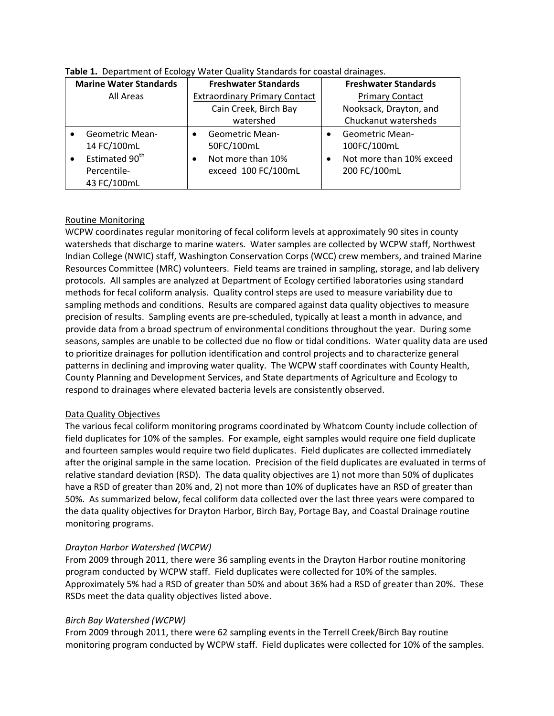| <b>Marine Water Standards</b>           | <b>Freshwater Standards</b>          | <b>Freshwater Standards</b>           |
|-----------------------------------------|--------------------------------------|---------------------------------------|
| All Areas                               | <b>Extraordinary Primary Contact</b> | <b>Primary Contact</b>                |
|                                         | Cain Creek, Birch Bay                | Nooksack, Drayton, and                |
|                                         | watershed                            | Chuckanut watersheds                  |
| <b>Geometric Mean-</b>                  | <b>Geometric Mean-</b>               | <b>Geometric Mean-</b>                |
| 14 FC/100mL                             | 50FC/100mL                           | 100FC/100mL                           |
| Estimated 90 <sup>th</sup><br>$\bullet$ | Not more than 10%<br>$\bullet$       | Not more than 10% exceed<br>$\bullet$ |
| Percentile-                             | exceed 100 FC/100mL                  | 200 FC/100mL                          |
| 43 FC/100mL                             |                                      |                                       |

#### **Table 1.** Department of Ecology Water Quality Standards for coastal drainages.

#### Routine Monitoring

WCPW coordinates regular monitoring of fecal coliform levels at approximately 90 sites in county watersheds that discharge to marine waters. Water samples are collected by WCPW staff, Northwest Indian College (NWIC) staff, Washington Conservation Corps (WCC) crew members, and trained Marine Resources Committee (MRC) volunteers. Field teams are trained in sampling, storage, and lab delivery protocols. All samples are analyzed at Department of Ecology certified laboratories using standard methods for fecal coliform analysis. Quality control steps are used to measure variability due to sampling methods and conditions. Results are compared against data quality objectives to measure precision of results. Sampling events are pre‐scheduled, typically at least a month in advance, and provide data from a broad spectrum of environmental conditions throughout the year. During some seasons, samples are unable to be collected due no flow or tidal conditions. Water quality data are used to prioritize drainages for pollution identification and control projects and to characterize general patterns in declining and improving water quality. The WCPW staff coordinates with County Health, County Planning and Development Services, and State departments of Agriculture and Ecology to respond to drainages where elevated bacteria levels are consistently observed.

#### Data Quality Objectives

The various fecal coliform monitoring programs coordinated by Whatcom County include collection of field duplicates for 10% of the samples. For example, eight samples would require one field duplicate and fourteen samples would require two field duplicates. Field duplicates are collected immediately after the original sample in the same location. Precision of the field duplicates are evaluated in terms of relative standard deviation (RSD). The data quality objectives are 1) not more than 50% of duplicates have a RSD of greater than 20% and, 2) not more than 10% of duplicates have an RSD of greater than 50%. As summarized below, fecal coliform data collected over the last three years were compared to the data quality objectives for Drayton Harbor, Birch Bay, Portage Bay, and Coastal Drainage routine monitoring programs.

### *Drayton Harbor Watershed (WCPW)*

From 2009 through 2011, there were 36 sampling events in the Drayton Harbor routine monitoring program conducted by WCPW staff. Field duplicates were collected for 10% of the samples. Approximately 5% had a RSD of greater than 50% and about 36% had a RSD of greater than 20%. These RSDs meet the data quality objectives listed above.

#### *Birch Bay Watershed (WCPW)*

From 2009 through 2011, there were 62 sampling events in the Terrell Creek/Birch Bay routine monitoring program conducted by WCPW staff. Field duplicates were collected for 10% of the samples.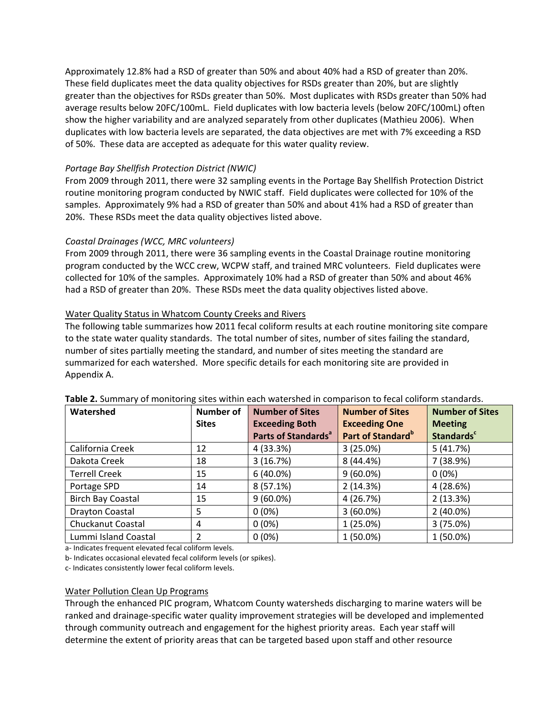Approximately 12.8% had a RSD of greater than 50% and about 40% had a RSD of greater than 20%. These field duplicates meet the data quality objectives for RSDs greater than 20%, but are slightly greater than the objectives for RSDs greater than 50%. Most duplicates with RSDs greater than 50% had average results below 20FC/100mL. Field duplicates with low bacteria levels (below 20FC/100mL) often show the higher variability and are analyzed separately from other duplicates (Mathieu 2006). When duplicates with low bacteria levels are separated, the data objectives are met with 7% exceeding a RSD of 50%. These data are accepted as adequate for this water quality review.

#### *Portage Bay Shellfish Protection District (NWIC)*

From 2009 through 2011, there were 32 sampling events in the Portage Bay Shellfish Protection District routine monitoring program conducted by NWIC staff. Field duplicates were collected for 10% of the samples. Approximately 9% had a RSD of greater than 50% and about 41% had a RSD of greater than 20%. These RSDs meet the data quality objectives listed above.

#### *Coastal Drainages (WCC, MRC volunteers)*

From 2009 through 2011, there were 36 sampling events in the Coastal Drainage routine monitoring program conducted by the WCC crew, WCPW staff, and trained MRC volunteers. Field duplicates were collected for 10% of the samples. Approximately 10% had a RSD of greater than 50% and about 46% had a RSD of greater than 20%. These RSDs meet the data quality objectives listed above.

#### Water Quality Status in Whatcom County Creeks and Rivers

The following table summarizes how 2011 fecal coliform results at each routine monitoring site compare to the state water quality standards. The total number of sites, number of sites failing the standard, number of sites partially meeting the standard, and number of sites meeting the standard are summarized for each watershed. More specific details for each monitoring site are provided in Appendix A.

| Watershed                | <b>Number of</b> | <b>Number of Sites</b>          | <b>Number of Sites</b>        | <b>Number of Sites</b>       |
|--------------------------|------------------|---------------------------------|-------------------------------|------------------------------|
|                          | <b>Sites</b>     | <b>Exceeding Both</b>           | <b>Exceeding One</b>          | <b>Meeting</b>               |
|                          |                  | Parts of Standards <sup>a</sup> | Part of Standard <sup>b</sup> | <b>Standards<sup>c</sup></b> |
| California Creek         | 12               | 4 (33.3%)                       | 3(25.0%)                      | 5(41.7%)                     |
| Dakota Creek             | 18               | 3(16.7%)                        | 8(44.4%)                      | 7 (38.9%)                    |
| <b>Terrell Creek</b>     | 15               | $6(40.0\%)$                     | $9(60.0\%)$                   | $0(0\%)$                     |
| Portage SPD              | 14               | 8(57.1%)                        | 2(14.3%)                      | 4(28.6%)                     |
| <b>Birch Bay Coastal</b> | 15               | $9(60.0\%)$                     | 4(26.7%)                      | 2(13.3%)                     |
| Drayton Coastal          | 5                | $0(0\%)$                        | $3(60.0\%)$                   | $2(40.0\%)$                  |
| Chuckanut Coastal        | 4                | $0(0\%)$                        | $1(25.0\%)$                   | 3(75.0%)                     |
| Lummi Island Coastal     | 2                | $0(0\%)$                        | $1(50.0\%)$                   | $1(50.0\%)$                  |

#### **Table 2.** Summary of monitoring sites within each watershed in comparison to fecal coliform standards.

a‐ Indicates frequent elevated fecal coliform levels.

b‐ Indicates occasional elevated fecal coliform levels (or spikes).

c‐ Indicates consistently lower fecal coliform levels.

#### Water Pollution Clean Up Programs

Through the enhanced PIC program, Whatcom County watersheds discharging to marine waters will be ranked and drainage‐specific water quality improvement strategies will be developed and implemented through community outreach and engagement for the highest priority areas. Each year staff will determine the extent of priority areas that can be targeted based upon staff and other resource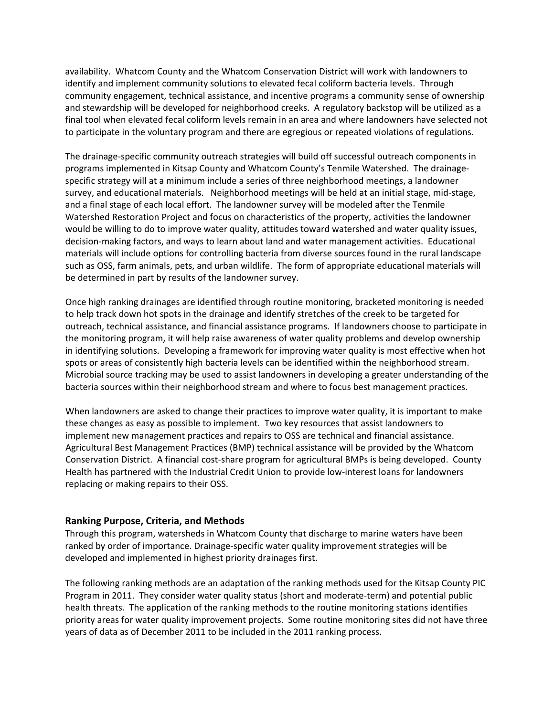availability. Whatcom County and the Whatcom Conservation District will work with landowners to identify and implement community solutions to elevated fecal coliform bacteria levels. Through community engagement, technical assistance, and incentive programs a community sense of ownership and stewardship will be developed for neighborhood creeks. A regulatory backstop will be utilized as a final tool when elevated fecal coliform levels remain in an area and where landowners have selected not to participate in the voluntary program and there are egregious or repeated violations of regulations.

The drainage‐specific community outreach strategies will build off successful outreach components in programs implemented in Kitsap County and Whatcom County's Tenmile Watershed. The drainage‐ specific strategy will at a minimum include a series of three neighborhood meetings, a landowner survey, and educational materials. Neighborhood meetings will be held at an initial stage, mid‐stage, and a final stage of each local effort. The landowner survey will be modeled after the Tenmile Watershed Restoration Project and focus on characteristics of the property, activities the landowner would be willing to do to improve water quality, attitudes toward watershed and water quality issues, decision‐making factors, and ways to learn about land and water management activities. Educational materials will include options for controlling bacteria from diverse sources found in the rural landscape such as OSS, farm animals, pets, and urban wildlife. The form of appropriate educational materials will be determined in part by results of the landowner survey.

Once high ranking drainages are identified through routine monitoring, bracketed monitoring is needed to help track down hot spots in the drainage and identify stretches of the creek to be targeted for outreach, technical assistance, and financial assistance programs. If landowners choose to participate in the monitoring program, it will help raise awareness of water quality problems and develop ownership in identifying solutions. Developing a framework for improving water quality is most effective when hot spots or areas of consistently high bacteria levels can be identified within the neighborhood stream. Microbial source tracking may be used to assist landowners in developing a greater understanding of the bacteria sources within their neighborhood stream and where to focus best management practices.

When landowners are asked to change their practices to improve water quality, it is important to make these changes as easy as possible to implement. Two key resources that assist landowners to implement new management practices and repairs to OSS are technical and financial assistance. Agricultural Best Management Practices (BMP) technical assistance will be provided by the Whatcom Conservation District. A financial cost‐share program for agricultural BMPs is being developed. County Health has partnered with the Industrial Credit Union to provide low-interest loans for landowners replacing or making repairs to their OSS.

#### **Ranking Purpose, Criteria, and Methods**

Through this program, watersheds in Whatcom County that discharge to marine waters have been ranked by order of importance. Drainage‐specific water quality improvement strategies will be developed and implemented in highest priority drainages first.

The following ranking methods are an adaptation of the ranking methods used for the Kitsap County PIC Program in 2011. They consider water quality status (short and moderate-term) and potential public health threats. The application of the ranking methods to the routine monitoring stations identifies priority areas for water quality improvement projects. Some routine monitoring sites did not have three years of data as of December 2011 to be included in the 2011 ranking process.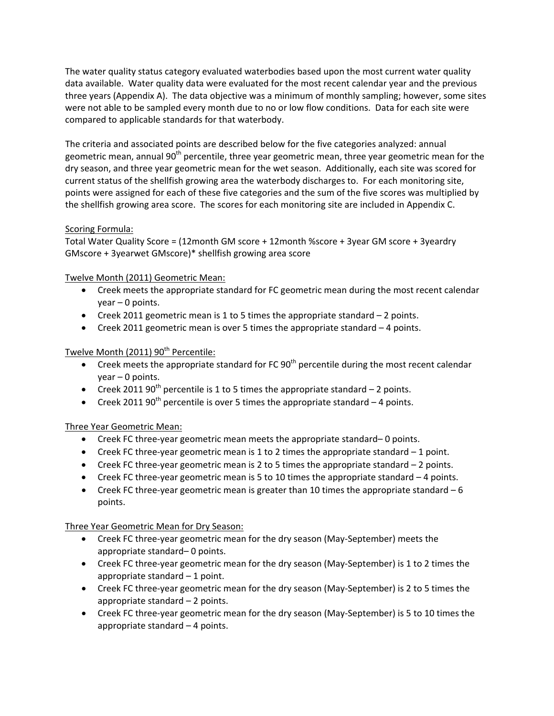The water quality status category evaluated waterbodies based upon the most current water quality data available. Water quality data were evaluated for the most recent calendar year and the previous three years (Appendix A). The data objective was a minimum of monthly sampling; however, some sites were not able to be sampled every month due to no or low flow conditions. Data for each site were compared to applicable standards for that waterbody.

The criteria and associated points are described below for the five categories analyzed: annual geometric mean, annual 90<sup>th</sup> percentile, three year geometric mean, three year geometric mean for the dry season, and three year geometric mean for the wet season. Additionally, each site was scored for current status of the shellfish growing area the waterbody discharges to. For each monitoring site, points were assigned for each of these five categories and the sum of the five scores was multiplied by the shellfish growing area score. The scores for each monitoring site are included in Appendix C.

#### Scoring Formula:

Total Water Quality Score = (12month GM score + 12month %score + 3year GM score + 3yeardry GMscore + 3yearwet GMscore)\* shellfish growing area score

#### Twelve Month (2011) Geometric Mean:

- Creek meets the appropriate standard for FC geometric mean during the most recent calendar year – 0 points.
- Creek 2011 geometric mean is 1 to 5 times the appropriate standard  $-$  2 points.
- Creek 2011 geometric mean is over 5 times the appropriate standard 4 points.

#### Twelve Month (2011) 90<sup>th</sup> Percentile:

- Creek meets the appropriate standard for FC  $90<sup>th</sup>$  percentile during the most recent calendar year – 0 points.
- Creek 2011 90<sup>th</sup> percentile is 1 to 5 times the appropriate standard  $-$  2 points.
- Creek 2011 90<sup>th</sup> percentile is over 5 times the appropriate standard  $-4$  points.

#### Three Year Geometric Mean:

- Creek FC three‐year geometric mean meets the appropriate standard– 0 points.
- Creek FC three-year geometric mean is 1 to 2 times the appropriate standard  $-1$  point.
- Creek FC three‐year geometric mean is 2 to 5 times the appropriate standard 2 points.
- Creek FC three‐year geometric mean is 5 to 10 times the appropriate standard 4 points.
- Creek FC three-year geometric mean is greater than 10 times the appropriate standard  $-6$ points.

#### Three Year Geometric Mean for Dry Season:

- Creek FC three‐year geometric mean for the dry season (May‐September) meets the appropriate standard– 0 points.
- Creek FC three-year geometric mean for the dry season (May-September) is 1 to 2 times the appropriate standard – 1 point.
- Creek FC three-year geometric mean for the dry season (May-September) is 2 to 5 times the appropriate standard – 2 points.
- Creek FC three‐year geometric mean for the dry season (May‐September) is 5 to 10 times the appropriate standard – 4 points.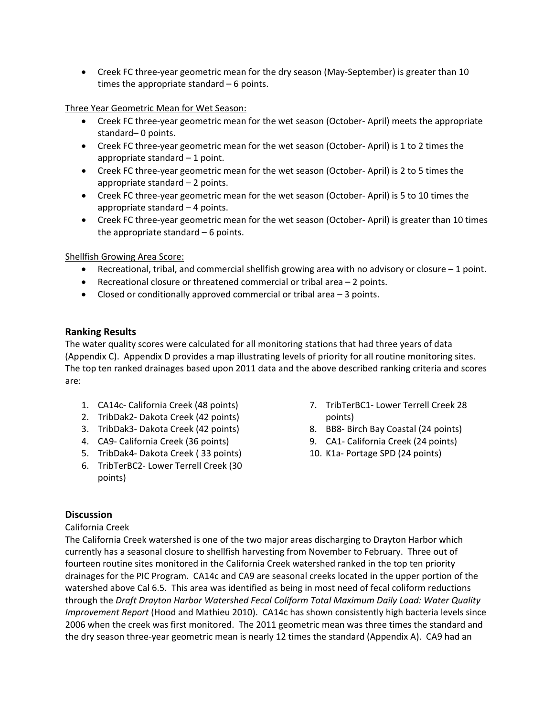• Creek FC three-year geometric mean for the dry season (May-September) is greater than 10 times the appropriate standard – 6 points.

Three Year Geometric Mean for Wet Season:

- Creek FC three-year geometric mean for the wet season (October-April) meets the appropriate standard– 0 points.
- Creek FC three‐year geometric mean for the wet season (October‐ April) is 1 to 2 times the appropriate standard – 1 point.
- Creek FC three‐year geometric mean for the wet season (October‐ April) is 2 to 5 times the appropriate standard – 2 points.
- Creek FC three‐year geometric mean for the wet season (October‐ April) is 5 to 10 times the appropriate standard – 4 points.
- Creek FC three‐year geometric mean for the wet season (October‐ April) is greater than 10 times the appropriate standard – 6 points.

### Shellfish Growing Area Score:

- **•** Recreational, tribal, and commercial shellfish growing area with no advisory or closure  $-1$  point.
- Recreational closure or threatened commercial or tribal area 2 points.
- Closed or conditionally approved commercial or tribal area 3 points.

#### **Ranking Results**

The water quality scores were calculated for all monitoring stations that had three years of data (Appendix C). Appendix D provides a map illustrating levels of priority for all routine monitoring sites. The top ten ranked drainages based upon 2011 data and the above described ranking criteria and scores are:

- 1. CA14c‐ California Creek (48 points)
- 2. TribDak2‐ Dakota Creek (42 points)
- 3. TribDak3‐ Dakota Creek (42 points)
- 4. CA9‐ California Creek (36 points)
- 5. TribDak4‐ Dakota Creek ( 33 points)
- 6. TribTerBC2‐ Lower Terrell Creek (30 points)
- 7. TribTerBC1‐ Lower Terrell Creek 28 points)
- 8. BB8‐ Birch Bay Coastal (24 points)
- 9. CA1- California Creek (24 points)
- 10. K1a‐ Portage SPD (24 points)

### **Discussion**

#### California Creek

The California Creek watershed is one of the two major areas discharging to Drayton Harbor which currently has a seasonal closure to shellfish harvesting from November to February. Three out of fourteen routine sites monitored in the California Creek watershed ranked in the top ten priority drainages for the PIC Program. CA14c and CA9 are seasonal creeks located in the upper portion of the watershed above Cal 6.5. This area was identified as being in most need of fecal coliform reductions through the *Draft Drayton Harbor Watershed Fecal Coliform Total Maximum Daily Load: Water Quality Improvement Report* (Hood and Mathieu 2010). CA14c has shown consistently high bacteria levels since 2006 when the creek was first monitored. The 2011 geometric mean was three times the standard and the dry season three-year geometric mean is nearly 12 times the standard (Appendix A). CA9 had an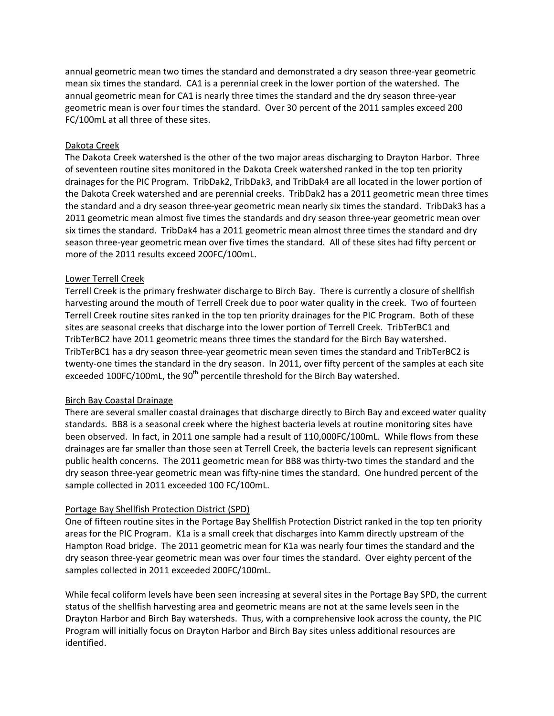annual geometric mean two times the standard and demonstrated a dry season three‐year geometric mean six times the standard. CA1 is a perennial creek in the lower portion of the watershed. The annual geometric mean for CA1 is nearly three times the standard and the dry season three‐year geometric mean is over four times the standard. Over 30 percent of the 2011 samples exceed 200 FC/100mL at all three of these sites.

#### Dakota Creek

The Dakota Creek watershed is the other of the two major areas discharging to Drayton Harbor. Three of seventeen routine sites monitored in the Dakota Creek watershed ranked in the top ten priority drainages for the PIC Program. TribDak2, TribDak3, and TribDak4 are all located in the lower portion of the Dakota Creek watershed and are perennial creeks. TribDak2 has a 2011 geometric mean three times the standard and a dry season three‐year geometric mean nearly six times the standard. TribDak3 has a 2011 geometric mean almost five times the standards and dry season three-year geometric mean over six times the standard. TribDak4 has a 2011 geometric mean almost three times the standard and dry season three‐year geometric mean over five times the standard. All of these sites had fifty percent or more of the 2011 results exceed 200FC/100mL.

#### Lower Terrell Creek

Terrell Creek is the primary freshwater discharge to Birch Bay. There is currently a closure of shellfish harvesting around the mouth of Terrell Creek due to poor water quality in the creek. Two of fourteen Terrell Creek routine sites ranked in the top ten priority drainages for the PIC Program. Both of these sites are seasonal creeks that discharge into the lower portion of Terrell Creek. TribTerBC1 and TribTerBC2 have 2011 geometric means three times the standard for the Birch Bay watershed. TribTerBC1 has a dry season three‐year geometric mean seven times the standard and TribTerBC2 is twenty-one times the standard in the dry season. In 2011, over fifty percent of the samples at each site exceeded 100FC/100mL, the  $90<sup>th</sup>$  percentile threshold for the Birch Bay watershed.

#### Birch Bay Coastal Drainage

There are several smaller coastal drainages that discharge directly to Birch Bay and exceed water quality standards. BB8 is a seasonal creek where the highest bacteria levels at routine monitoring sites have been observed. In fact, in 2011 one sample had a result of 110,000FC/100mL. While flows from these drainages are far smaller than those seen at Terrell Creek, the bacteria levels can represent significant public health concerns. The 2011 geometric mean for BB8 was thirty-two times the standard and the dry season three‐year geometric mean was fifty‐nine times the standard. One hundred percent of the sample collected in 2011 exceeded 100 FC/100mL.

#### Portage Bay Shellfish Protection District (SPD)

One of fifteen routine sites in the Portage Bay Shellfish Protection District ranked in the top ten priority areas for the PIC Program. K1a is a small creek that discharges into Kamm directly upstream of the Hampton Road bridge. The 2011 geometric mean for K1a was nearly four times the standard and the dry season three‐year geometric mean was over four times the standard. Over eighty percent of the samples collected in 2011 exceeded 200FC/100mL.

While fecal coliform levels have been seen increasing at several sites in the Portage Bay SPD, the current status of the shellfish harvesting area and geometric means are not at the same levels seen in the Drayton Harbor and Birch Bay watersheds. Thus, with a comprehensive look across the county, the PIC Program will initially focus on Drayton Harbor and Birch Bay sites unless additional resources are identified.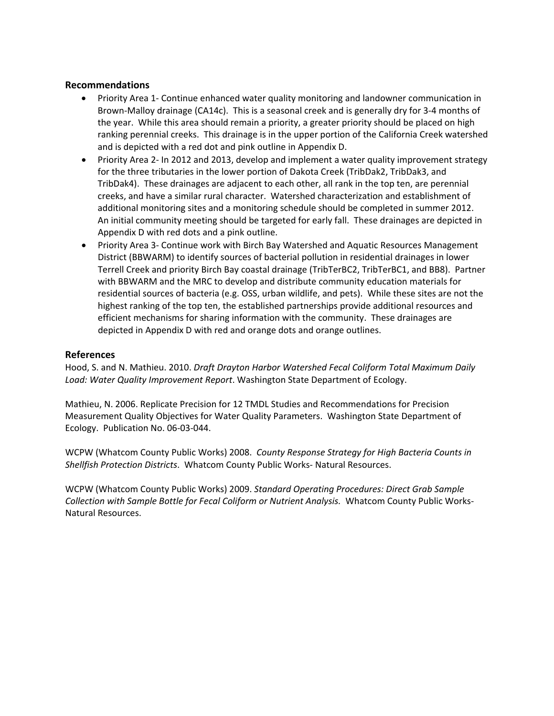#### **Recommendations**

- Priority Area 1- Continue enhanced water quality monitoring and landowner communication in Brown‐Malloy drainage (CA14c). This is a seasonal creek and is generally dry for 3‐4 months of the year. While this area should remain a priority, a greater priority should be placed on high ranking perennial creeks. This drainage is in the upper portion of the California Creek watershed and is depicted with a red dot and pink outline in Appendix D.
- Priority Area 2‐ In 2012 and 2013, develop and implement a water quality improvement strategy for the three tributaries in the lower portion of Dakota Creek (TribDak2, TribDak3, and TribDak4). These drainages are adjacent to each other, all rank in the top ten, are perennial creeks, and have a similar rural character. Watershed characterization and establishment of additional monitoring sites and a monitoring schedule should be completed in summer 2012. An initial community meeting should be targeted for early fall. These drainages are depicted in Appendix D with red dots and a pink outline.
- Priority Area 3- Continue work with Birch Bay Watershed and Aquatic Resources Management District (BBWARM) to identify sources of bacterial pollution in residential drainages in lower Terrell Creek and priority Birch Bay coastal drainage (TribTerBC2, TribTerBC1, and BB8). Partner with BBWARM and the MRC to develop and distribute community education materials for residential sources of bacteria (e.g. OSS, urban wildlife, and pets). While these sites are not the highest ranking of the top ten, the established partnerships provide additional resources and efficient mechanisms for sharing information with the community. These drainages are depicted in Appendix D with red and orange dots and orange outlines.

#### **References**

Hood, S. and N. Mathieu. 2010. *Draft Drayton Harbor Watershed Fecal Coliform Total Maximum Daily Load: Water Quality Improvement Report*. Washington State Department of Ecology.

Mathieu, N. 2006. Replicate Precision for 12 TMDL Studies and Recommendations for Precision Measurement Quality Objectives for Water Quality Parameters. Washington State Department of Ecology. Publication No. 06‐03‐044.

WCPW (Whatcom County Public Works) 2008. *County Response Strategy for High Bacteria Counts in Shellfish Protection Districts*. Whatcom County Public Works‐ Natural Resources.

WCPW (Whatcom County Public Works) 2009. *Standard Operating Procedures: Direct Grab Sample Collection with Sample Bottle for Fecal Coliform or Nutrient Analysis.* Whatcom County Public Works‐ Natural Resources.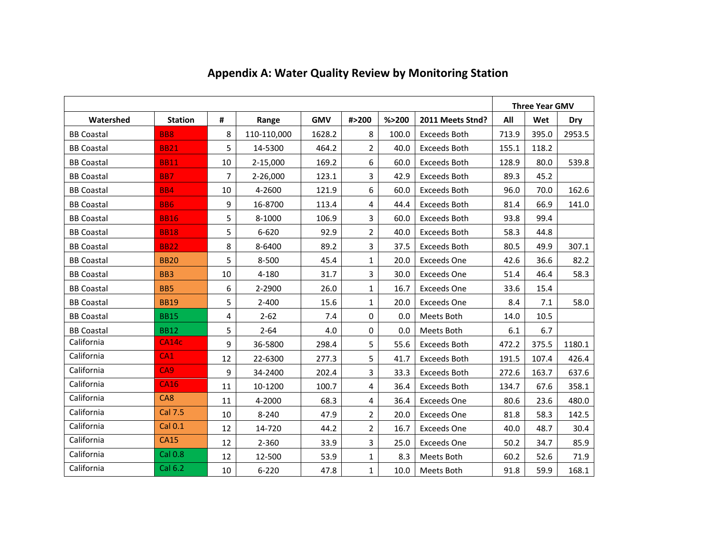|                   |                 |                |             |            |                |         |                     |       | <b>Three Year GMV</b> |        |
|-------------------|-----------------|----------------|-------------|------------|----------------|---------|---------------------|-------|-----------------------|--------|
| Watershed         | <b>Station</b>  | #              | Range       | <b>GMV</b> | #>200          | % > 200 | 2011 Meets Stnd?    | All   | Wet                   | Dry    |
| <b>BB Coastal</b> | <b>BB8</b>      | 8              | 110-110,000 | 1628.2     | 8              | 100.0   | <b>Exceeds Both</b> | 713.9 | 395.0                 | 2953.5 |
| <b>BB Coastal</b> | <b>BB21</b>     | 5              | 14-5300     | 464.2      | $\overline{2}$ | 40.0    | <b>Exceeds Both</b> | 155.1 | 118.2                 |        |
| <b>BB Coastal</b> | <b>BB11</b>     | 10             | 2-15,000    | 169.2      | 6              | 60.0    | <b>Exceeds Both</b> | 128.9 | 80.0                  | 539.8  |
| <b>BB Coastal</b> | <b>BB7</b>      | $\overline{7}$ | 2-26,000    | 123.1      | 3              | 42.9    | <b>Exceeds Both</b> | 89.3  | 45.2                  |        |
| <b>BB Coastal</b> | <b>BB4</b>      | 10             | 4-2600      | 121.9      | 6              | 60.0    | <b>Exceeds Both</b> | 96.0  | 70.0                  | 162.6  |
| <b>BB Coastal</b> | <b>BB6</b>      | 9              | 16-8700     | 113.4      | $\overline{4}$ | 44.4    | <b>Exceeds Both</b> | 81.4  | 66.9                  | 141.0  |
| <b>BB Coastal</b> | <b>BB16</b>     | 5              | 8-1000      | 106.9      | $\overline{3}$ | 60.0    | <b>Exceeds Both</b> | 93.8  | 99.4                  |        |
| <b>BB Coastal</b> | <b>BB18</b>     | 5              | $6 - 620$   | 92.9       | $\overline{2}$ | 40.0    | <b>Exceeds Both</b> | 58.3  | 44.8                  |        |
| <b>BB Coastal</b> | <b>BB22</b>     | 8              | 8-6400      | 89.2       | 3              | 37.5    | <b>Exceeds Both</b> | 80.5  | 49.9                  | 307.1  |
| <b>BB Coastal</b> | <b>BB20</b>     | 5              | 8-500       | 45.4       | $\mathbf{1}$   | 20.0    | <b>Exceeds One</b>  | 42.6  | 36.6                  | 82.2   |
| <b>BB Coastal</b> | BB <sub>3</sub> | 10             | 4-180       | 31.7       | $\overline{3}$ | 30.0    | <b>Exceeds One</b>  | 51.4  | 46.4                  | 58.3   |
| <b>BB Coastal</b> | <b>BB5</b>      | 6              | 2-2900      | 26.0       | $\mathbf{1}$   | 16.7    | <b>Exceeds One</b>  | 33.6  | 15.4                  |        |
| <b>BB Coastal</b> | <b>BB19</b>     | 5              | $2 - 400$   | 15.6       | $\mathbf{1}$   | 20.0    | <b>Exceeds One</b>  | 8.4   | 7.1                   | 58.0   |
| <b>BB Coastal</b> | <b>BB15</b>     | 4              | $2 - 62$    | 7.4        | $\Omega$       | 0.0     | Meets Both          | 14.0  | 10.5                  |        |
| <b>BB Coastal</b> | <b>BB12</b>     | 5              | $2 - 64$    | 4.0        | $\mathbf 0$    | 0.0     | Meets Both          | 6.1   | 6.7                   |        |
| California        | CA14c           | 9              | 36-5800     | 298.4      | 5              | 55.6    | <b>Exceeds Both</b> | 472.2 | 375.5                 | 1180.1 |
| California        | CA1             | 12             | 22-6300     | 277.3      | 5              | 41.7    | <b>Exceeds Both</b> | 191.5 | 107.4                 | 426.4  |
| California        | CA <sub>9</sub> | 9              | 34-2400     | 202.4      | $\overline{3}$ | 33.3    | <b>Exceeds Both</b> | 272.6 | 163.7                 | 637.6  |
| California        | <b>CA16</b>     | 11             | 10-1200     | 100.7      | $\overline{4}$ | 36.4    | <b>Exceeds Both</b> | 134.7 | 67.6                  | 358.1  |
| California        | CA8             | 11             | 4-2000      | 68.3       | 4              | 36.4    | <b>Exceeds One</b>  | 80.6  | 23.6                  | 480.0  |
| California        | <b>Cal 7.5</b>  | 10             | $8 - 240$   | 47.9       | $\overline{2}$ | 20.0    | <b>Exceeds One</b>  | 81.8  | 58.3                  | 142.5  |
| California        | <b>Cal 0.1</b>  | 12             | 14-720      | 44.2       | $\overline{2}$ | 16.7    | <b>Exceeds One</b>  | 40.0  | 48.7                  | 30.4   |
| California        | <b>CA15</b>     | 12             | 2-360       | 33.9       | $\overline{3}$ | 25.0    | <b>Exceeds One</b>  | 50.2  | 34.7                  | 85.9   |
| California        | <b>Cal 0.8</b>  | 12             | 12-500      | 53.9       | $\mathbf{1}$   | 8.3     | Meets Both          | 60.2  | 52.6                  | 71.9   |
| California        | <b>Cal 6.2</b>  | 10             | $6 - 220$   | 47.8       | $\mathbf{1}$   | 10.0    | Meets Both          | 91.8  | 59.9                  | 168.1  |

# **Appendix A: Water Quality Review by Monitoring Station**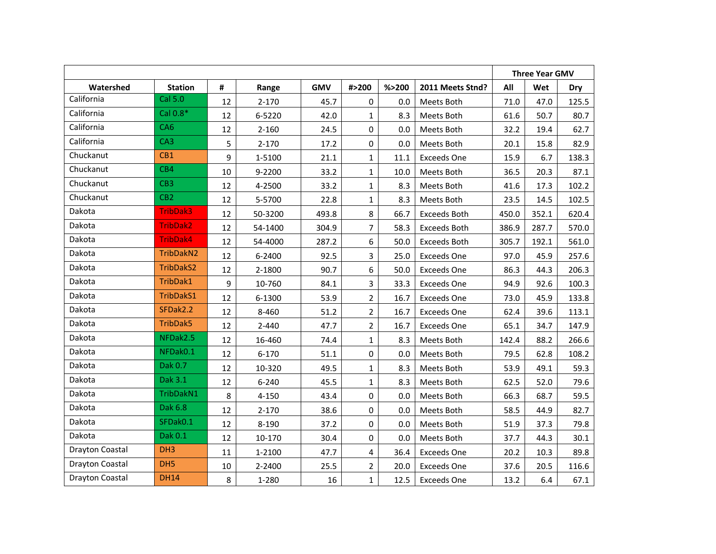|                        |                  |         |           |            |                  |         |                     |       | <b>Three Year GMV</b> |       |
|------------------------|------------------|---------|-----------|------------|------------------|---------|---------------------|-------|-----------------------|-------|
| Watershed              | <b>Station</b>   | #       | Range     | <b>GMV</b> | #>200            | % > 200 | 2011 Meets Stnd?    | All   | Wet                   | Dry   |
| California             | Cal 5.0          | 12      | $2 - 170$ | 45.7       | $\mathbf 0$      | 0.0     | Meets Both          | 71.0  | 47.0                  | 125.5 |
| California             | Cal 0.8*         | 12      | 6-5220    | 42.0       | $\mathbf{1}$     | 8.3     | Meets Both          | 61.6  | 50.7                  | 80.7  |
| California             | CA <sub>6</sub>  | 12      | $2 - 160$ | 24.5       | $\mathbf 0$      | 0.0     | Meets Both          | 32.2  | 19.4                  | 62.7  |
| California             | CA <sub>3</sub>  | 5       | $2 - 170$ | 17.2       | $\mathbf 0$      | 0.0     | Meets Both          | 20.1  | 15.8                  | 82.9  |
| Chuckanut              | CB <sub>1</sub>  | 9       | 1-5100    | 21.1       | $\mathbf{1}$     | 11.1    | <b>Exceeds One</b>  | 15.9  | 6.7                   | 138.3 |
| Chuckanut              | CB4              | 10      | 9-2200    | 33.2       | $\mathbf{1}$     | 10.0    | Meets Both          | 36.5  | 20.3                  | 87.1  |
| Chuckanut              | CB <sub>3</sub>  | 12      | 4-2500    | 33.2       | $\mathbf{1}$     | 8.3     | Meets Both          | 41.6  | 17.3                  | 102.2 |
| Chuckanut              | CB <sub>2</sub>  | 12      | 5-5700    | 22.8       | $\mathbf{1}$     | 8.3     | Meets Both          | 23.5  | 14.5                  | 102.5 |
| Dakota                 | <b>TribDak3</b>  | 12      | 50-3200   | 493.8      | 8                | 66.7    | <b>Exceeds Both</b> | 450.0 | 352.1                 | 620.4 |
| Dakota                 | <b>TribDak2</b>  | 12      | 54-1400   | 304.9      | $\overline{7}$   | 58.3    | <b>Exceeds Both</b> | 386.9 | 287.7                 | 570.0 |
| Dakota                 | TribDak4         | 12      | 54-4000   | 287.2      | 6                | 50.0    | <b>Exceeds Both</b> | 305.7 | 192.1                 | 561.0 |
| Dakota                 | TribDakN2        | 12      | 6-2400    | 92.5       | 3                | 25.0    | <b>Exceeds One</b>  | 97.0  | 45.9                  | 257.6 |
| Dakota                 | <b>TribDakS2</b> | 12      | 2-1800    | 90.7       | 6                | 50.0    | <b>Exceeds One</b>  | 86.3  | 44.3                  | 206.3 |
| Dakota                 | TribDak1         | 9       | 10-760    | 84.1       | 3                | 33.3    | <b>Exceeds One</b>  | 94.9  | 92.6                  | 100.3 |
| Dakota                 | TribDakS1        | 12      | 6-1300    | 53.9       | $\overline{2}$   | 16.7    | <b>Exceeds One</b>  | 73.0  | 45.9                  | 133.8 |
| Dakota                 | SFDak2.2         | 12      | 8-460     | 51.2       | $\overline{2}$   | 16.7    | Exceeds One         | 62.4  | 39.6                  | 113.1 |
| Dakota                 | TribDak5         | 12      | $2 - 440$ | 47.7       | $\overline{2}$   | 16.7    | <b>Exceeds One</b>  | 65.1  | 34.7                  | 147.9 |
| Dakota                 | NFDak2.5         | 12      | 16-460    | 74.4       | $\mathbf{1}$     | 8.3     | Meets Both          | 142.4 | 88.2                  | 266.6 |
| Dakota                 | NFDak0.1         | 12      | $6 - 170$ | 51.1       | $\boldsymbol{0}$ | 0.0     | Meets Both          | 79.5  | 62.8                  | 108.2 |
| Dakota                 | Dak 0.7          | 12      | 10-320    | 49.5       | $\mathbf{1}$     | 8.3     | Meets Both          | 53.9  | 49.1                  | 59.3  |
| Dakota                 | Dak 3.1          | 12      | $6 - 240$ | 45.5       | $\mathbf{1}$     | 8.3     | Meets Both          | 62.5  | 52.0                  | 79.6  |
| Dakota                 | TribDakN1        | $\,8\,$ | $4 - 150$ | 43.4       | 0                | 0.0     | Meets Both          | 66.3  | 68.7                  | 59.5  |
| Dakota                 | Dak 6.8          | 12      | $2 - 170$ | 38.6       | 0                | 0.0     | Meets Both          | 58.5  | 44.9                  | 82.7  |
| Dakota                 | SFDak0.1         | 12      | 8-190     | 37.2       | $\mathbf 0$      | 0.0     | Meets Both          | 51.9  | 37.3                  | 79.8  |
| Dakota                 | Dak 0.1          | 12      | 10-170    | 30.4       | 0                | 0.0     | Meets Both          | 37.7  | 44.3                  | 30.1  |
| Drayton Coastal        | DH <sub>3</sub>  | 11      | 1-2100    | 47.7       | $\overline{4}$   | 36.4    | <b>Exceeds One</b>  | 20.2  | 10.3                  | 89.8  |
| <b>Drayton Coastal</b> | DH <sub>5</sub>  | 10      | 2-2400    | 25.5       | $\overline{2}$   | 20.0    | <b>Exceeds One</b>  | 37.6  | 20.5                  | 116.6 |
| <b>Drayton Coastal</b> | <b>DH14</b>      | 8       | 1-280     | 16         | $\mathbf{1}$     | 12.5    | <b>Exceeds One</b>  | 13.2  | 6.4                   | 67.1  |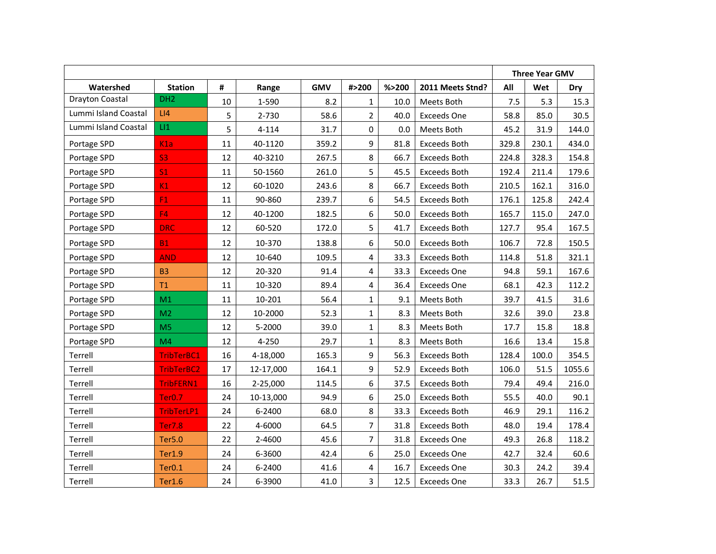|                      |                    |    |           |            |                |         |                     |       | <b>Three Year GMV</b> |        |
|----------------------|--------------------|----|-----------|------------|----------------|---------|---------------------|-------|-----------------------|--------|
| Watershed            | <b>Station</b>     | #  | Range     | <b>GMV</b> | #>200          | % > 200 | 2011 Meets Stnd?    | All   | Wet                   | Dry    |
| Drayton Coastal      | DH <sub>2</sub>    | 10 | 1-590     | 8.2        | $\mathbf{1}$   | 10.0    | Meets Both          | 7.5   | 5.3                   | 15.3   |
| Lummi Island Coastal | LI4                | 5  | 2-730     | 58.6       | $\overline{2}$ | 40.0    | <b>Exceeds One</b>  | 58.8  | 85.0                  | 30.5   |
| Lummi Island Coastal | LI                 | 5  | $4 - 114$ | 31.7       | 0              | 0.0     | Meets Both          | 45.2  | 31.9                  | 144.0  |
| Portage SPD          | K1a                | 11 | 40-1120   | 359.2      | 9              | 81.8    | <b>Exceeds Both</b> | 329.8 | 230.1                 | 434.0  |
| Portage SPD          | <b>S3</b>          | 12 | 40-3210   | 267.5      | 8              | 66.7    | <b>Exceeds Both</b> | 224.8 | 328.3                 | 154.8  |
| Portage SPD          | S <sub>1</sub>     | 11 | 50-1560   | 261.0      | 5              | 45.5    | <b>Exceeds Both</b> | 192.4 | 211.4                 | 179.6  |
| Portage SPD          | K1                 | 12 | 60-1020   | 243.6      | 8              | 66.7    | <b>Exceeds Both</b> | 210.5 | 162.1                 | 316.0  |
| Portage SPD          | F1                 | 11 | 90-860    | 239.7      | 6              | 54.5    | <b>Exceeds Both</b> | 176.1 | 125.8                 | 242.4  |
| Portage SPD          | F4                 | 12 | 40-1200   | 182.5      | 6              | 50.0    | <b>Exceeds Both</b> | 165.7 | 115.0                 | 247.0  |
| Portage SPD          | <b>DRC</b>         | 12 | 60-520    | 172.0      | 5              | 41.7    | <b>Exceeds Both</b> | 127.7 | 95.4                  | 167.5  |
| Portage SPD          | <b>B1</b>          | 12 | 10-370    | 138.8      | 6              | 50.0    | <b>Exceeds Both</b> | 106.7 | 72.8                  | 150.5  |
| Portage SPD          | <b>AND</b>         | 12 | 10-640    | 109.5      | 4              | 33.3    | <b>Exceeds Both</b> | 114.8 | 51.8                  | 321.1  |
| Portage SPD          | <b>B3</b>          | 12 | 20-320    | 91.4       | 4              | 33.3    | <b>Exceeds One</b>  | 94.8  | 59.1                  | 167.6  |
| Portage SPD          | T1                 | 11 | 10-320    | 89.4       | 4              | 36.4    | <b>Exceeds One</b>  | 68.1  | 42.3                  | 112.2  |
| Portage SPD          | M1                 | 11 | 10-201    | 56.4       | $\mathbf{1}$   | 9.1     | Meets Both          | 39.7  | 41.5                  | 31.6   |
| Portage SPD          | M <sub>2</sub>     | 12 | 10-2000   | 52.3       | $\mathbf{1}$   | 8.3     | Meets Both          | 32.6  | 39.0                  | 23.8   |
| Portage SPD          | M <sub>5</sub>     | 12 | 5-2000    | 39.0       | $\mathbf{1}$   | 8.3     | Meets Both          | 17.7  | 15.8                  | 18.8   |
| Portage SPD          | M <sub>4</sub>     | 12 | 4-250     | 29.7       | $\mathbf{1}$   | 8.3     | Meets Both          | 16.6  | 13.4                  | 15.8   |
| Terrell              | TribTerBC1         | 16 | 4-18,000  | 165.3      | 9              | 56.3    | <b>Exceeds Both</b> | 128.4 | 100.0                 | 354.5  |
| Terrell              | TribTerBC2         | 17 | 12-17,000 | 164.1      | 9              | 52.9    | <b>Exceeds Both</b> | 106.0 | 51.5                  | 1055.6 |
| Terrell              | TribFERN1          | 16 | 2-25,000  | 114.5      | 6              | 37.5    | <b>Exceeds Both</b> | 79.4  | 49.4                  | 216.0  |
| Terrell              | Ter <sub>0.7</sub> | 24 | 10-13,000 | 94.9       | 6              | 25.0    | <b>Exceeds Both</b> | 55.5  | 40.0                  | 90.1   |
| Terrell              | TribTerLP1         | 24 | 6-2400    | 68.0       | 8              | 33.3    | <b>Exceeds Both</b> | 46.9  | 29.1                  | 116.2  |
| Terrell              | <b>Ter7.8</b>      | 22 | 4-6000    | 64.5       | 7              | 31.8    | <b>Exceeds Both</b> | 48.0  | 19.4                  | 178.4  |
| Terrell              | <b>Ter5.0</b>      | 22 | 2-4600    | 45.6       | 7              | 31.8    | <b>Exceeds One</b>  | 49.3  | 26.8                  | 118.2  |
| Terrell              | <b>Ter1.9</b>      | 24 | 6-3600    | 42.4       | 6              | 25.0    | <b>Exceeds One</b>  | 42.7  | 32.4                  | 60.6   |
| Terrell              | Ter <sub>0.1</sub> | 24 | 6-2400    | 41.6       | 4              | 16.7    | <b>Exceeds One</b>  | 30.3  | 24.2                  | 39.4   |
| Terrell              | <b>Ter1.6</b>      | 24 | 6-3900    | 41.0       | 3              | 12.5    | <b>Exceeds One</b>  | 33.3  | 26.7                  | 51.5   |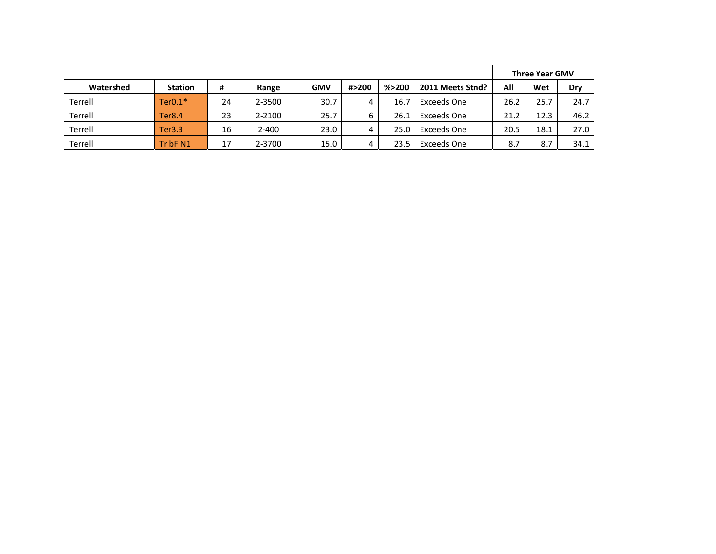|           |                |    |           |            |       |         |                  |      | <b>Three Year GMV</b> |      |
|-----------|----------------|----|-----------|------------|-------|---------|------------------|------|-----------------------|------|
| Watershed | <b>Station</b> | #  | Range     | <b>GMV</b> | #>200 | % > 200 | 2011 Meets Stnd? | All  | Wet                   | Dry  |
| Terrell   | $Ter0.1*$      | 24 | 2-3500    | 30.7       | 4     | 16.7    | Exceeds One      | 26.2 | 25.7                  | 24.7 |
| Terrell   | Ter8.4         | 23 | 2-2100    | 25.7       | 6     | 26.1    | Exceeds One      | 21.2 | 12.3                  | 46.2 |
| Terrell   | Ter3.3         | 16 | $2 - 400$ | 23.0       | 4     | 25.0    | Exceeds One      | 20.5 | 18.1                  | 27.0 |
| Terrell   | TribFIN1       | 17 | 2-3700    | 15.0       | 4     | 23.5    | Exceeds One      | 8.7  | 8.7                   | 34.1 |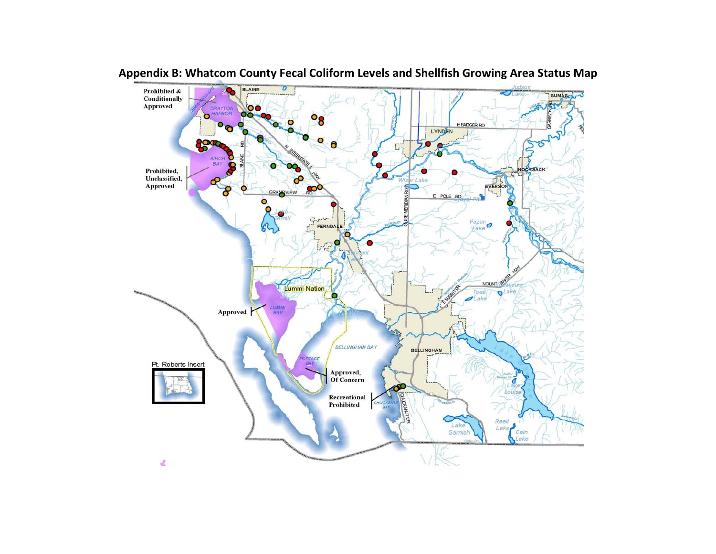

# **Appendix B: Whatcom County Fecal Coliform Levels and Shellfish Growing Area Status Map**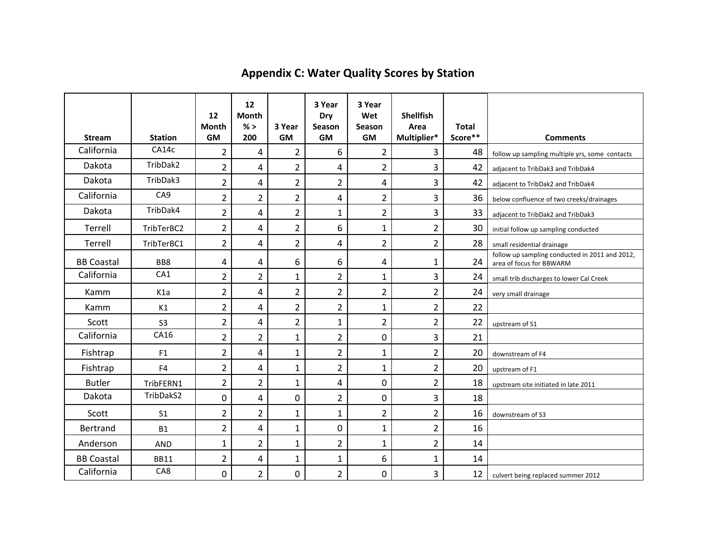| <b>Stream</b>     | <b>Station</b>   | 12<br><b>Month</b><br><b>GM</b> | 12<br><b>Month</b><br>% ><br>200 | 3 Year<br><b>GM</b> | 3 Year<br>Dry<br>Season<br><b>GM</b> | 3 Year<br>Wet<br>Season<br><b>GM</b> | <b>Shellfish</b><br>Area<br>Multiplier* | <b>Total</b><br>Score** | <b>Comments</b>                                                            |
|-------------------|------------------|---------------------------------|----------------------------------|---------------------|--------------------------------------|--------------------------------------|-----------------------------------------|-------------------------|----------------------------------------------------------------------------|
| California        | CA14c            | $\overline{2}$                  | 4                                | $\overline{2}$      | 6                                    | $\overline{2}$                       | 3                                       | 48                      | follow up sampling multiple yrs, some contacts                             |
| Dakota            | TribDak2         | $\overline{2}$                  | $\overline{4}$                   | $\overline{2}$      | $\overline{a}$                       | $\overline{2}$                       | $\overline{3}$                          | 42                      | adjacent to TribDak3 and TribDak4                                          |
| Dakota            | TribDak3         | $\overline{2}$                  | $\overline{\mathbf{4}}$          | $\overline{2}$      | $\overline{2}$                       | 4                                    | $\overline{3}$                          | 42                      | adjacent to TribDak2 and TribDak4                                          |
| California        | CA <sub>9</sub>  | $\overline{2}$                  | $\overline{2}$                   | $\overline{2}$      | $\overline{a}$                       | $\overline{2}$                       | 3                                       | 36                      | below confluence of two creeks/drainages                                   |
| Dakota            | TribDak4         | $\overline{2}$                  | 4                                | $\overline{2}$      | $\mathbf{1}$                         | $\overline{2}$                       | $\overline{3}$                          | 33                      | adjacent to TribDak2 and TribDak3                                          |
| Terrell           | TribTerBC2       | $\overline{2}$                  | 4                                | $\overline{2}$      | 6                                    | $\mathbf{1}$                         | $\overline{2}$                          | 30                      | initial follow up sampling conducted                                       |
| Terrell           | TribTerBC1       | $\overline{2}$                  | 4                                | $\overline{2}$      | $\overline{a}$                       | $\overline{2}$                       | $\overline{2}$                          | 28                      | small residential drainage                                                 |
| <b>BB Coastal</b> | BB8              | 4                               | 4                                | 6                   | 6                                    | 4                                    | $\mathbf{1}$                            | 24                      | follow up sampling conducted in 2011 and 2012,<br>area of focus for BBWARM |
| California        | CA1              | $\overline{2}$                  | $\overline{2}$                   | $\mathbf{1}$        | $\overline{2}$                       | $\mathbf{1}$                         | 3                                       | 24                      | small trib discharges to lower Cal Creek                                   |
| Kamm              | K <sub>1</sub> a | $\overline{2}$                  | 4                                | $\overline{2}$      | $\overline{2}$                       | $\overline{2}$                       | $\overline{2}$                          | 24                      | very small drainage                                                        |
| Kamm              | K1               | $\overline{2}$                  | 4                                | $\overline{2}$      | $\overline{2}$                       | $\mathbf{1}$                         | $\overline{2}$                          | 22                      |                                                                            |
| Scott             | S <sub>3</sub>   | $\overline{2}$                  | 4                                | $\overline{2}$      | $\mathbf{1}$                         | $\overline{2}$                       | $\overline{2}$                          | 22                      | upstream of S1                                                             |
| California        | CA16             | $\overline{2}$                  | $\overline{2}$                   | $\mathbf{1}$        | $\overline{2}$                       | 0                                    | $\overline{3}$                          | 21                      |                                                                            |
| Fishtrap          | F <sub>1</sub>   | $\overline{2}$                  | 4                                | $\mathbf{1}$        | $\overline{2}$                       | $\mathbf{1}$                         | $\overline{2}$                          | 20                      | downstream of F4                                                           |
| Fishtrap          | F <sub>4</sub>   | $\overline{2}$                  | 4                                | $\mathbf{1}$        | $\overline{2}$                       | $\mathbf{1}$                         | $\overline{2}$                          | 20                      | upstream of F1                                                             |
| <b>Butler</b>     | TribFERN1        | $\overline{2}$                  | $\overline{2}$                   | $\mathbf{1}$        | $\overline{4}$                       | 0                                    | $\overline{2}$                          | 18                      | upstream site initiated in late 2011                                       |
| Dakota            | TribDakS2        | $\mathbf{0}$                    | 4                                | 0                   | $\overline{2}$                       | 0                                    | 3                                       | 18                      |                                                                            |
| Scott             | S <sub>1</sub>   | $\overline{2}$                  | $\overline{2}$                   | $\mathbf{1}$        | $\mathbf{1}$                         | $\overline{2}$                       | $\overline{2}$                          | 16                      | downstream of S3                                                           |
| Bertrand          | <b>B1</b>        | $\overline{2}$                  | 4                                | $\mathbf{1}$        | $\mathbf 0$                          | $\mathbf{1}$                         | $\overline{2}$                          | 16                      |                                                                            |
| Anderson          | <b>AND</b>       | 1                               | $\overline{2}$                   | $\mathbf{1}$        | $\overline{2}$                       | $\mathbf{1}$                         | $\overline{2}$                          | 14                      |                                                                            |
| <b>BB Coastal</b> | <b>BB11</b>      | $\overline{2}$                  | 4                                | $\mathbf{1}$        | 1                                    | 6                                    | $\mathbf{1}$                            | 14                      |                                                                            |
| California        | CA8              | 0                               | $\overline{2}$                   | 0                   | 2                                    | 0                                    | 3                                       | 12                      | culvert being replaced summer 2012                                         |

# **Appendix C: Water Quality Scores by Station**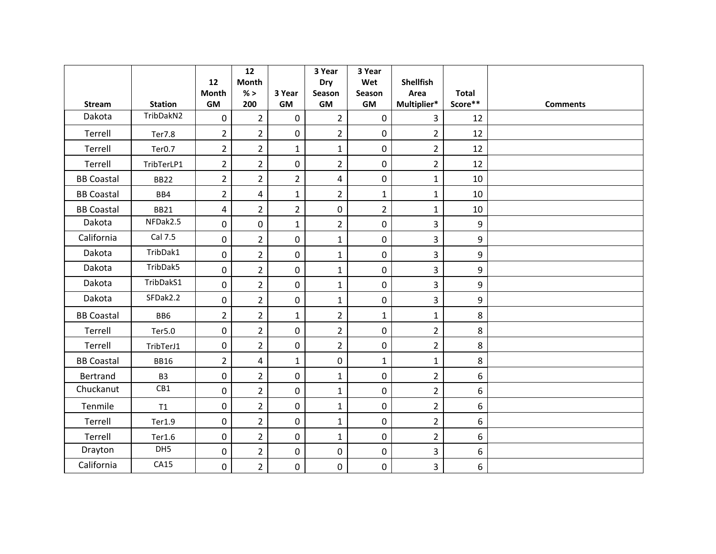|                   |                    | 12<br><b>Month</b> | 12<br>Month<br>% >      | 3 Year         | 3 Year<br>Dry<br>Season | 3 Year<br>Wet<br>Season | <b>Shellfish</b><br>Area | <b>Total</b>          |                 |
|-------------------|--------------------|--------------------|-------------------------|----------------|-------------------------|-------------------------|--------------------------|-----------------------|-----------------|
| <b>Stream</b>     | <b>Station</b>     | <b>GM</b>          | 200                     | GM             | <b>GM</b>               | GM                      | Multiplier*              | $\textsf{Score}^{**}$ | <b>Comments</b> |
| Dakota            | TribDakN2          | $\overline{0}$     | $\overline{2}$          | $\mathbf 0$    | $\overline{2}$          | $\mathbf 0$             | $\overline{3}$           | 12                    |                 |
| Terrell           | <b>Ter7.8</b>      | $\overline{2}$     | $\overline{2}$          | $\mathbf 0$    | $\overline{2}$          | 0                       | $\overline{2}$           | 12                    |                 |
| Terrell           | Ter <sub>0.7</sub> | $\overline{2}$     | $\overline{2}$          | $\mathbf{1}$   | $\mathbf{1}$            | 0                       | $\overline{2}$           | 12                    |                 |
| Terrell           | TribTerLP1         | $\overline{2}$     | $\overline{2}$          | 0              | $\overline{2}$          | 0                       | $\overline{2}$           | 12                    |                 |
| <b>BB Coastal</b> | <b>BB22</b>        | $\overline{2}$     | $\overline{2}$          | $\overline{2}$ | 4                       | 0                       | $\mathbf{1}$             | 10                    |                 |
| <b>BB Coastal</b> | BB4                | $\overline{2}$     | $\overline{\mathbf{4}}$ | $\mathbf{1}$   | $\overline{2}$          | $\mathbf{1}$            | $\mathbf{1}$             | 10                    |                 |
| <b>BB Coastal</b> | <b>BB21</b>        | 4                  | $\overline{2}$          | $\overline{2}$ | $\boldsymbol{0}$        | $\overline{2}$          | $\mathbf{1}$             | 10                    |                 |
| Dakota            | NFDak2.5           | 0                  | $\boldsymbol{0}$        | $\mathbf{1}$   | $\overline{2}$          | 0                       | $\overline{3}$           | 9                     |                 |
| California        | Cal 7.5            | $\mathbf 0$        | $\overline{2}$          | $\mathbf 0$    | $\mathbf{1}$            | 0                       | $\overline{3}$           | 9                     |                 |
| Dakota            | TribDak1           | $\overline{0}$     | $\overline{2}$          | $\overline{0}$ | $\mathbf{1}$            | 0                       | $\overline{3}$           | 9                     |                 |
| Dakota            | TribDak5           | $\mathbf 0$        | $\overline{2}$          | $\mathbf 0$    | $\mathbf 1$             | 0                       | $\overline{3}$           | 9                     |                 |
| Dakota            | TribDakS1          | 0                  | $\overline{2}$          | 0              | $\mathbf{1}$            | 0                       | $\overline{3}$           | 9                     |                 |
| Dakota            | SFDak2.2           | 0                  | $\overline{2}$          | 0              | $\mathbf{1}$            | 0                       | $\overline{3}$           | 9                     |                 |
| <b>BB Coastal</b> | BB <sub>6</sub>    | $\overline{2}$     | $\overline{2}$          | $\mathbf{1}$   | $\overline{2}$          | $\mathbf{1}$            | $\mathbf{1}$             | 8                     |                 |
| Terrell           | Ter5.0             | $\mathbf 0$        | $\overline{2}$          | $\overline{0}$ | $\overline{2}$          | 0                       | $\overline{2}$           | 8                     |                 |
| Terrell           | TribTerJ1          | $\boldsymbol{0}$   | $\overline{2}$          | 0              | $\overline{2}$          | 0                       | $\overline{2}$           | 8                     |                 |
| <b>BB Coastal</b> | <b>BB16</b>        | $\overline{2}$     | 4                       | $\mathbf{1}$   | $\mathbf 0$             | $\mathbf{1}$            | $\mathbf{1}$             | 8                     |                 |
| Bertrand          | B <sub>3</sub>     | 0                  | $\overline{2}$          | 0              | $\mathbf{1}$            | 0                       | $\overline{2}$           | 6                     |                 |
| Chuckanut         | CB1                | $\overline{0}$     | $\overline{2}$          | $\overline{0}$ | $\mathbf{1}$            | 0                       | $\overline{2}$           | 6                     |                 |
| Tenmile           | T1                 | $\pmb{0}$          | $\overline{2}$          | $\mathbf 0$    | $\mathbf{1}$            | 0                       | $\overline{2}$           | 6                     |                 |
| Terrell           | Ter1.9             | 0                  | $\overline{2}$          | 0              | $\mathbf{1}$            | 0                       | $\overline{2}$           | 6                     |                 |
| Terrell           | Ter1.6             | 0                  | $\overline{2}$          | 0              | $\mathbf{1}$            | 0                       | $\overline{2}$           | 6                     |                 |
| Drayton           | DH5                | 0                  | $\overline{2}$          | 0              | $\boldsymbol{0}$        | 0                       | 3                        | 6                     |                 |
| California        | CA15               | $\mathbf{0}$       | $\overline{2}$          | $\overline{0}$ | $\mathbf 0$             | 0                       | $\overline{3}$           | 6                     |                 |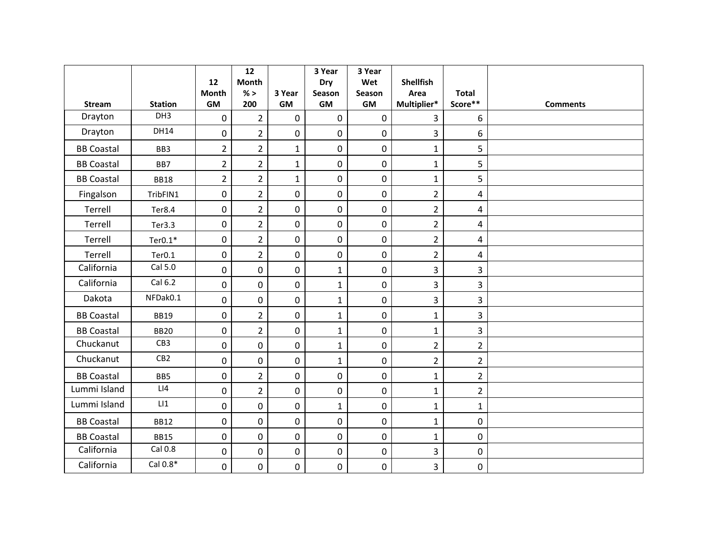|                   |                    | 12                 | 12<br><b>Month</b> |                  | 3 Year<br><b>Dry</b> | 3 Year<br>Wet | <b>Shellfish</b>    |                         |                 |
|-------------------|--------------------|--------------------|--------------------|------------------|----------------------|---------------|---------------------|-------------------------|-----------------|
| <b>Stream</b>     | <b>Station</b>     | Month<br><b>GM</b> | $\%$ ><br>200      | 3 Year<br>GM     | Season<br><b>GM</b>  | Season<br>GM  | Area<br>Multiplier* | <b>Total</b><br>Score** | <b>Comments</b> |
| Drayton           | DH3                | $\pmb{0}$          | $\overline{2}$     | $\mathbf 0$      | $\mathbf 0$          | $\mathbf 0$   | 3                   | 6                       |                 |
| Drayton           | DH14               |                    |                    |                  |                      |               |                     |                         |                 |
|                   |                    | $\mathbf 0$        | $\overline{2}$     | $\mathbf 0$      | $\boldsymbol{0}$     | $\mathbf 0$   | $\overline{3}$      | 6                       |                 |
| <b>BB Coastal</b> | BB3                | $\overline{2}$     | $\overline{2}$     | $\mathbf{1}$     | $\mathbf 0$          | $\pmb{0}$     | $\mathbf{1}$        | 5                       |                 |
| <b>BB Coastal</b> | BB7                | $\overline{2}$     | $\overline{2}$     | $\mathbf 1$      | $\pmb{0}$            | $\pmb{0}$     | $\mathbf{1}$        | 5                       |                 |
| <b>BB Coastal</b> | <b>BB18</b>        | $\overline{2}$     | $\overline{2}$     | $\mathbf{1}$     | $\mathbf 0$          | $\pmb{0}$     | $\mathbf{1}$        | 5                       |                 |
| Fingalson         | TribFIN1           | 0                  | $\overline{2}$     | $\mathbf 0$      | $\mathbf 0$          | $\mathbf 0$   | $\overline{2}$      | 4                       |                 |
| Terrell           | Ter8.4             | $\mathbf 0$        | $\overline{2}$     | $\mathbf 0$      | $\mathbf 0$          | $\mathbf 0$   | $\overline{2}$      | $\overline{4}$          |                 |
| Terrell           | Ter3.3             | 0                  | $\overline{2}$     | $\pmb{0}$        | $\mathbf 0$          | 0             | $\overline{2}$      | 4                       |                 |
| Terrell           | $Ter0.1*$          | $\pmb{0}$          | $\overline{2}$     | $\boldsymbol{0}$ | $\mathbf 0$          | $\pmb{0}$     | $\overline{2}$      | $\overline{4}$          |                 |
| Terrell           | Ter <sub>0.1</sub> | $\mathbf 0$        | $\overline{2}$     | $\overline{0}$   | $\mathbf 0$          | $\mathbf 0$   | $\overline{2}$      | 4                       |                 |
| California        | Cal 5.0            | $\pmb{0}$          | $\mathbf 0$        | $\mathbf 0$      | $\mathbf 1$          | $\mathbf 0$   | $\overline{3}$      | 3                       |                 |
| California        | Cal 6.2            | 0                  | 0                  | $\mathbf 0$      | $\mathbf{1}$         | 0             | $\overline{3}$      | $\overline{3}$          |                 |
| Dakota            | NFDak0.1           | 0                  | 0                  | $\mathbf 0$      | $\mathbf 1$          | 0             | $\overline{3}$      | 3                       |                 |
| <b>BB Coastal</b> | <b>BB19</b>        | $\mathbf 0$        | $\overline{2}$     | $\mathbf 0$      | $\mathbf 1$          | $\mathbf 0$   | $\mathbf{1}$        | $\overline{3}$          |                 |
| <b>BB Coastal</b> | <b>BB20</b>        | 0                  | $\overline{2}$     | $\mathbf 0$      | $\mathbf 1$          | 0             | $\mathbf{1}$        | 3                       |                 |
| Chuckanut         | CB3                | 0                  | $\mathbf 0$        | $\mathbf 0$      | $\mathbf 1$          | $\pmb{0}$     | $\overline{2}$      | $\overline{2}$          |                 |
| Chuckanut         | CB <sub>2</sub>    | 0                  | $\mathbf 0$        | $\mathbf 0$      | $\mathbf{1}$         | $\mathbf 0$   | $\overline{2}$      | $\overline{2}$          |                 |
| <b>BB Coastal</b> | BB5                | 0                  | $\overline{2}$     | $\boldsymbol{0}$ | $\boldsymbol{0}$     | $\pmb{0}$     | $\mathbf{1}$        | $\overline{2}$          |                 |
| Lummi Island      | LI4                | $\mathbf 0$        | $\overline{2}$     | $\mathbf 0$      | $\mathbf 0$          | $\mathbf 0$   | $\mathbf{1}$        | $\overline{2}$          |                 |
| Lummi Island      | LI                 | $\mathbf 0$        | $\mathbf 0$        | $\mathbf 0$      | $\mathbf{1}$         | $\mathbf 0$   | $\mathbf{1}$        | $\mathbf{1}$            |                 |
| <b>BB Coastal</b> | <b>BB12</b>        | 0                  | $\pmb{0}$          | $\pmb{0}$        | $\mathbf 0$          | $\pmb{0}$     | $\mathbf{1}$        | $\mathbf 0$             |                 |
| <b>BB Coastal</b> | <b>BB15</b>        | 0                  | $\mathbf 0$        | $\pmb{0}$        | $\boldsymbol{0}$     | 0             | $\mathbf{1}$        | $\mathbf 0$             |                 |
| California        | Cal 0.8            | $\mathbf 0$        | $\mathbf 0$        | $\mathbf 0$      | $\mathbf 0$          | $\pmb{0}$     | 3                   | $\mathbf 0$             |                 |
| California        | Cal 0.8*           | 0                  | $\mathbf 0$        | $\mathbf 0$      | $\mathbf 0$          | $\pmb{0}$     | $\overline{3}$      | $\mathbf 0$             |                 |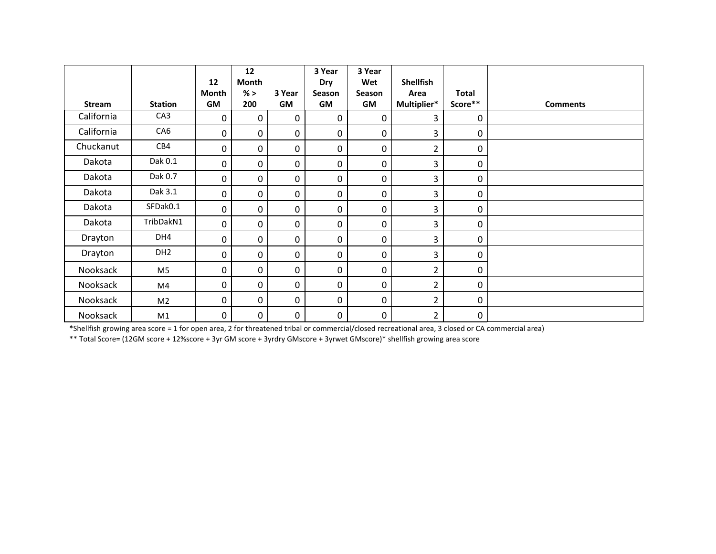|            |                 | 12          | 12<br>Month |                  | 3 Year<br>Dry | 3 Year<br>Wet | <b>Shellfish</b> |              |                 |
|------------|-----------------|-------------|-------------|------------------|---------------|---------------|------------------|--------------|-----------------|
|            |                 | Month       | % >         | 3 Year           | <b>Season</b> | Season        | Area             | <b>Total</b> |                 |
| Stream     | <b>Station</b>  | <b>GM</b>   | 200         | <b>GM</b>        | <b>GM</b>     | GM            | Multiplier*      | Score**      | <b>Comments</b> |
| California | CA <sub>3</sub> | $\mathbf 0$ | 0           | $\mathbf 0$      | 0             | 0             | 3                | 0            |                 |
| California | CA6             | $\mathbf 0$ | 0           | 0                | 0             | 0             | 3                | $\mathbf 0$  |                 |
| Chuckanut  | CB4             | 0           | 0           | 0                | 0             | 0             | $\overline{2}$   | $\mathbf 0$  |                 |
| Dakota     | Dak 0.1         | 0           | 0           | 0                | 0             | 0             | 3                | 0            |                 |
| Dakota     | Dak 0.7         | 0           | 0           | 0                | 0             | 0             | 3                | 0            |                 |
| Dakota     | Dak 3.1         | $\mathbf 0$ | 0           | 0                | 0             | 0             | 3                | $\mathbf 0$  |                 |
| Dakota     | SFDak0.1        | $\mathbf 0$ | 0           | 0                | 0             | 0             | 3                | 0            |                 |
| Dakota     | TribDakN1       | 0           | 0           | 0                | 0             | 0             | 3                | 0            |                 |
| Drayton    | DH4             | $\mathbf 0$ | 0           | 0                | 0             | 0             | 3                | 0            |                 |
| Drayton    | DH <sub>2</sub> | $\mathbf 0$ | 0           | $\boldsymbol{0}$ | 0             | 0             | 3                | 0            |                 |
| Nooksack   | M <sub>5</sub>  | $\Omega$    | 0           | 0                | 0             | 0             | $\overline{2}$   | 0            |                 |
| Nooksack   | M4              | $\mathbf 0$ | 0           | 0                | 0             | 0             | $\overline{2}$   | 0            |                 |
| Nooksack   | M <sub>2</sub>  | 0           | 0           | 0                | 0             | 0             | $\overline{2}$   | 0            |                 |
| Nooksack   | M1              | $\pmb{0}$   | 0           | 0                | 0             | 0             | $\overline{2}$   | $\mathbf 0$  |                 |

\*Shellfish growing area score <sup>=</sup> 1 for open area, 2 for threatened tribal or commercial/closed recreational area, 3 closed or CA commercial area)

\*\* Total Score= (12GM score <sup>+</sup> 12%score <sup>+</sup> 3yr GM score <sup>+</sup> 3yrdry GMscore <sup>+</sup> 3yrwet GMscore)\* shellfish growing area score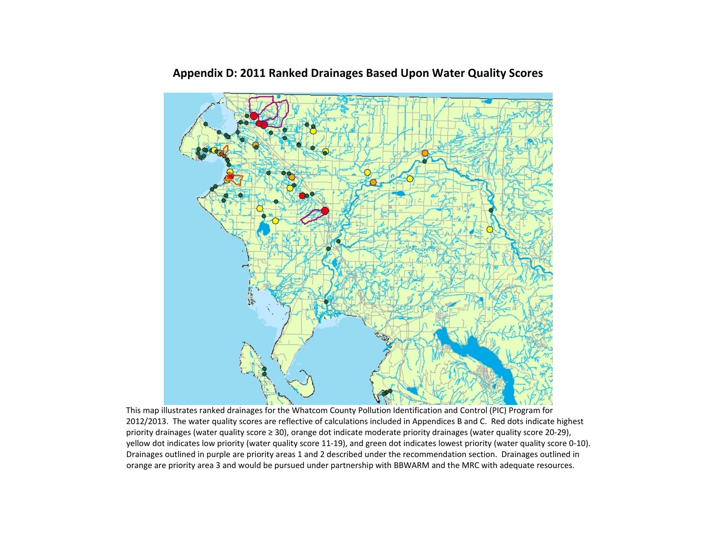

## **Appendix D: 2011 Ranked Drainages Based Upon Water Quality Scores**

This map illustrates ranked drainages for the Whatcom County Pollution Identification and Control (PIC) Program for 2012/2013. The water quality scores are reflective of calculations included in Appendices B and C. Red dots indicate highest priority drainages (water quality score<sup>≥</sup>30), orange dot indicate moderate priority drainages (water quality score 20‐29), yellow dot indicates low priority (water quality score 11‐19), and green dot indicates lowest priority (water quality score 0‐10). Drainages outlined in purple are priority areas 1 and 2 described under the recommendation section. Drainages outlined in orange are priority area 3 and would be pursued under partnership with BBWARM and the MRC with adequate resources.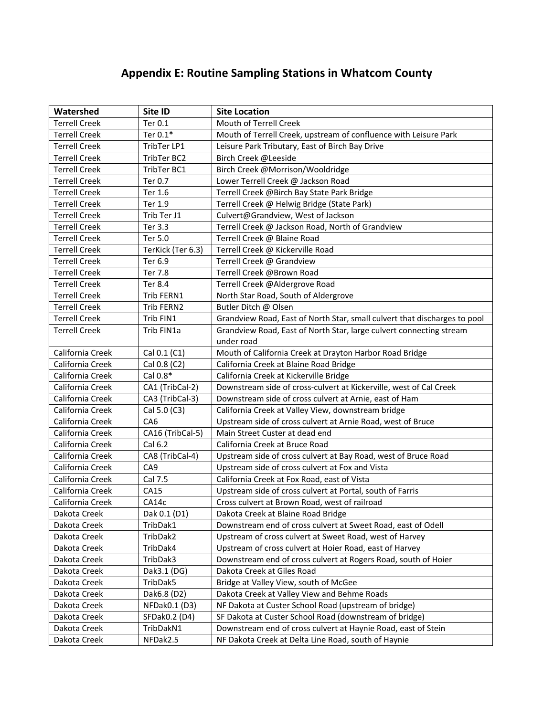# **Appendix E: Routine Sampling Stations in Whatcom County**

| Watershed            | Site ID           | <b>Site Location</b>                                                      |
|----------------------|-------------------|---------------------------------------------------------------------------|
| <b>Terrell Creek</b> | Ter 0.1           | Mouth of Terrell Creek                                                    |
| <b>Terrell Creek</b> | Ter $0.1*$        | Mouth of Terrell Creek, upstream of confluence with Leisure Park          |
| <b>Terrell Creek</b> | TribTer LP1       | Leisure Park Tributary, East of Birch Bay Drive                           |
| <b>Terrell Creek</b> | TribTer BC2       | Birch Creek @Leeside                                                      |
| <b>Terrell Creek</b> | TribTer BC1       | Birch Creek @Morrison/Wooldridge                                          |
| <b>Terrell Creek</b> | Ter 0.7           | Lower Terrell Creek @ Jackson Road                                        |
| <b>Terrell Creek</b> | Ter 1.6           | Terrell Creek @Birch Bay State Park Bridge                                |
| <b>Terrell Creek</b> | Ter 1.9           | Terrell Creek @ Helwig Bridge (State Park)                                |
| <b>Terrell Creek</b> | Trib Ter J1       | Culvert@Grandview, West of Jackson                                        |
| <b>Terrell Creek</b> | Ter 3.3           | Terrell Creek @ Jackson Road, North of Grandview                          |
| <b>Terrell Creek</b> | Ter 5.0           | Terrell Creek @ Blaine Road                                               |
| <b>Terrell Creek</b> | TerKick (Ter 6.3) | Terrell Creek @ Kickerville Road                                          |
| <b>Terrell Creek</b> | Ter 6.9           | Terrell Creek @ Grandview                                                 |
| <b>Terrell Creek</b> | Ter 7.8           | Terrell Creek @Brown Road                                                 |
| <b>Terrell Creek</b> | Ter 8.4           | Terrell Creek @Aldergrove Road                                            |
| <b>Terrell Creek</b> | Trib FERN1        | North Star Road, South of Aldergrove                                      |
| <b>Terrell Creek</b> | Trib FERN2        | Butler Ditch @ Olsen                                                      |
| <b>Terrell Creek</b> | Trib FIN1         | Grandview Road, East of North Star, small culvert that discharges to pool |
| <b>Terrell Creek</b> | Trib FIN1a        | Grandview Road, East of North Star, large culvert connecting stream       |
|                      |                   | under road                                                                |
| California Creek     | Cal 0.1 (C1)      | Mouth of California Creek at Drayton Harbor Road Bridge                   |
| California Creek     | Cal 0.8 (C2)      | California Creek at Blaine Road Bridge                                    |
| California Creek     | Cal 0.8*          | California Creek at Kickerville Bridge                                    |
| California Creek     | CA1 (TribCal-2)   | Downstream side of cross-culvert at Kickerville, west of Cal Creek        |
| California Creek     | CA3 (TribCal-3)   | Downstream side of cross culvert at Arnie, east of Ham                    |
| California Creek     | Cal 5.0 (C3)      | California Creek at Valley View, downstream bridge                        |
| California Creek     | CA <sub>6</sub>   | Upstream side of cross culvert at Arnie Road, west of Bruce               |
| California Creek     | CA16 (TribCal-5)  | Main Street Custer at dead end                                            |
| California Creek     | Cal 6.2           | California Creek at Bruce Road                                            |
| California Creek     | CA8 (TribCal-4)   | Upstream side of cross culvert at Bay Road, west of Bruce Road            |
| California Creek     | CA9               | Upstream side of cross culvert at Fox and Vista                           |
| California Creek     | Cal 7.5           | California Creek at Fox Road, east of Vista                               |
| California Creek     | CA15              | Upstream side of cross culvert at Portal, south of Farris                 |
| California Creek     | CA14c             | Cross culvert at Brown Road, west of railroad                             |
| Dakota Creek         | Dak 0.1 (D1)      | Dakota Creek at Blaine Road Bridge                                        |
| Dakota Creek         | TribDak1          | Downstream end of cross culvert at Sweet Road, east of Odell              |
| Dakota Creek         | TribDak2          | Upstream of cross culvert at Sweet Road, west of Harvey                   |
| Dakota Creek         | TribDak4          | Upstream of cross culvert at Hoier Road, east of Harvey                   |
| Dakota Creek         | TribDak3          | Downstream end of cross culvert at Rogers Road, south of Hoier            |
| Dakota Creek         | Dak3.1 (DG)       | Dakota Creek at Giles Road                                                |
| Dakota Creek         | TribDak5          | Bridge at Valley View, south of McGee                                     |
| Dakota Creek         | Dak6.8 (D2)       | Dakota Creek at Valley View and Behme Roads                               |
| Dakota Creek         | NFDak0.1 (D3)     | NF Dakota at Custer School Road (upstream of bridge)                      |
| Dakota Creek         | SFDak0.2 (D4)     | SF Dakota at Custer School Road (downstream of bridge)                    |
| Dakota Creek         | TribDakN1         | Downstream end of cross culvert at Haynie Road, east of Stein             |
| Dakota Creek         | NFDak2.5          | NF Dakota Creek at Delta Line Road, south of Haynie                       |